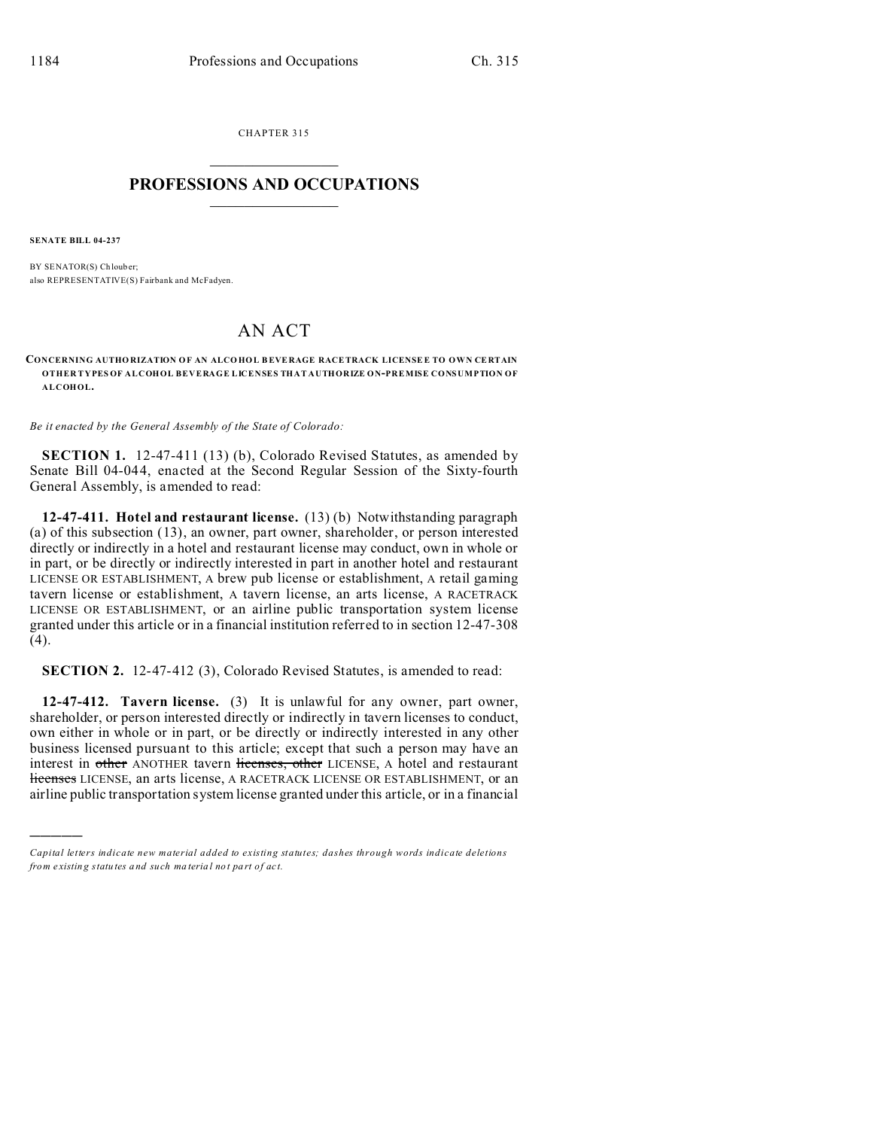CHAPTER 315  $\overline{\phantom{a}}$  , where  $\overline{\phantom{a}}$ 

## **PROFESSIONS AND OCCUPATIONS**  $\frac{1}{2}$  ,  $\frac{1}{2}$  ,  $\frac{1}{2}$  ,  $\frac{1}{2}$  ,  $\frac{1}{2}$  ,  $\frac{1}{2}$  ,  $\frac{1}{2}$

**SENATE BILL 04-237**

)))))

BY SENATOR(S) Chlouber: also REPRESENTATIVE(S) Fairbank and McFadyen.

## AN ACT

## **CONCERNING AUTHO RIZATION O F AN ALCO HOL BEVERAGE RACETRACK LICENSE E TO OWN CE RTAIN OTHER TYPES OF ALCOHOL BEVERAGE LICENSES THAT AUTHORIZE ON-PREMISE CONSUMPTION OF ALCOHOL.**

*Be it enacted by the General Assembly of the State of Colorado:*

**SECTION 1.** 12-47-411 (13) (b), Colorado Revised Statutes, as amended by Senate Bill 04-044, enacted at the Second Regular Session of the Sixty-fourth General Assembly, is amended to read:

**12-47-411. Hotel and restaurant license.** (13) (b) Notwithstanding paragraph (a) of this subsection (13), an owner, part owner, shareholder, or person interested directly or indirectly in a hotel and restaurant license may conduct, own in whole or in part, or be directly or indirectly interested in part in another hotel and restaurant LICENSE OR ESTABLISHMENT, A brew pub license or establishment, A retail gaming tavern license or establishment, A tavern license, an arts license, A RACETRACK LICENSE OR ESTABLISHMENT, or an airline public transportation system license granted under this article or in a financial institution referred to in section 12-47-308 (4).

**SECTION 2.** 12-47-412 (3), Colorado Revised Statutes, is amended to read:

**12-47-412. Tavern license.** (3) It is unlawful for any owner, part owner, shareholder, or person interested directly or indirectly in tavern licenses to conduct, own either in whole or in part, or be directly or indirectly interested in any other business licensed pursuant to this article; except that such a person may have an interest in other ANOTHER tavern licenses, other LICENSE, A hotel and restaurant licenses LICENSE, an arts license, A RACETRACK LICENSE OR ESTABLISHMENT, or an airline public transportation system license granted under this article, or in a financial

*Capital letters indicate new material added to existing statutes; dashes through words indicate deletions from e xistin g statu tes a nd such ma teria l no t pa rt of ac t.*